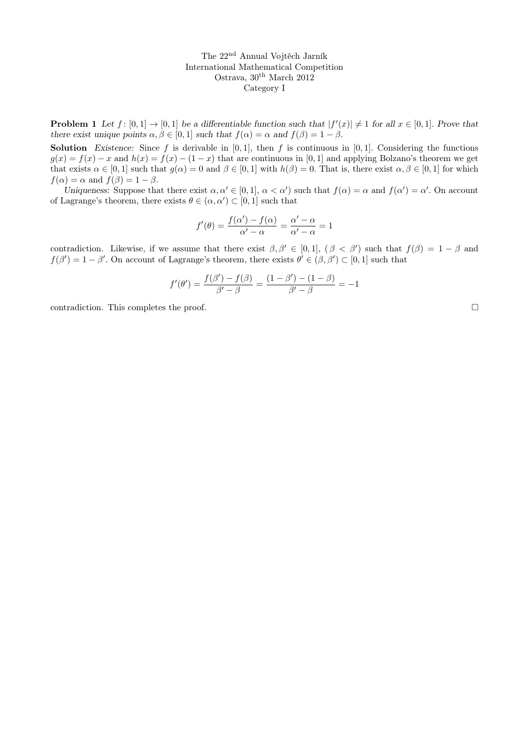**Problem 1** Let  $f: [0,1] \to [0,1]$  be a differentiable function such that  $|f'(x)| \neq 1$  for all  $x \in [0,1]$ . Prove that there exist unique points  $\alpha, \beta \in [0, 1]$  such that  $f(\alpha) = \alpha$  and  $f(\beta) = 1 - \beta$ .

**Solution** Existence: Since f is derivable in  $[0,1]$ , then f is continuous in  $[0,1]$ . Considering the functions  $g(x) = f(x) - x$  and  $h(x) = f(x) - (1 - x)$  that are continuous in [0, 1] and applying Bolzano's theorem we get that exists  $\alpha \in [0,1]$  such that  $g(\alpha) = 0$  and  $\beta \in [0,1]$  with  $h(\beta) = 0$ . That is, there exist  $\alpha, \beta \in [0,1]$  for which  $f(\alpha) = \alpha$  and  $f(\beta) = 1 - \beta$ .

Uniqueness: Suppose that there exist  $\alpha, \alpha' \in [0,1], \alpha < \alpha'$  such that  $f(\alpha) = \alpha$  and  $f(\alpha') = \alpha'$ . On account of Lagrange's theorem, there exists  $\theta \in (\alpha, \alpha') \subset [0, 1]$  such that

$$
f'(\theta) = \frac{f(\alpha') - f(\alpha)}{\alpha' - \alpha} = \frac{\alpha' - \alpha}{\alpha' - \alpha} = 1
$$

contradiction. Likewise, if we assume that there exist  $\beta, \beta' \in [0,1]$ ,  $(\beta < \beta')$  such that  $f(\beta) = 1 - \beta$  and  $f(\beta') = 1 - \beta'$ . On account of Lagrange's theorem, there exists  $\theta' \in (\beta, \beta') \subset [0, 1]$  such that

$$
f'(\theta') = \frac{f(\beta') - f(\beta)}{\beta' - \beta} = \frac{(1 - \beta') - (1 - \beta)}{\beta' - \beta} = -1
$$

contradiction. This completes the proof.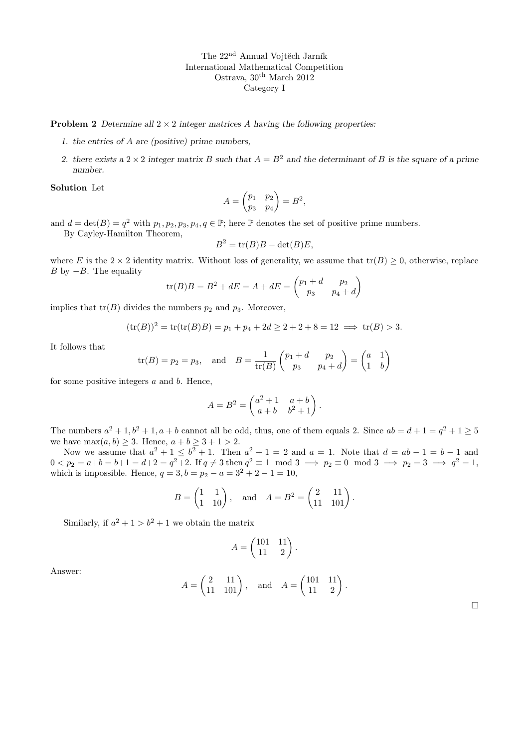**Problem 2** Determine all  $2 \times 2$  integer matrices A having the following properties:

- 1. the entries of A are (positive) prime numbers,
- 2. there exists a  $2 \times 2$  integer matrix B such that  $A = B^2$  and the determinant of B is the square of a prime number.

Solution Let

$$
A = \begin{pmatrix} p_1 & p_2 \\ p_3 & p_4 \end{pmatrix} = B^2,
$$

and  $d = \det(B) = q^2$  with  $p_1, p_2, p_3, p_4, q \in \mathbb{P}$ ; here  $\mathbb P$  denotes the set of positive prime numbers. By Cayley-Hamilton Theorem,

$$
B^2 = \operatorname{tr}(B)B - \det(B)E,
$$

where E is the  $2 \times 2$  identity matrix. Without loss of generality, we assume that  $tr(B) \geq 0$ , otherwise, replace B by  $-B$ . The equality

$$
tr(B)B = B2 + dE = A + dE = \begin{pmatrix} p_1 + d & p_2 \\ p_3 & p_4 + d \end{pmatrix}
$$

implies that  $tr(B)$  divides the numbers  $p_2$  and  $p_3$ . Moreover,

$$
(\text{tr}(B))^2 = \text{tr}(\text{tr}(B)B) = p_1 + p_4 + 2d \ge 2 + 2 + 8 = 12 \implies \text{tr}(B) > 3.
$$

It follows that

$$
tr(B) = p_2 = p_3
$$
, and  $B = \frac{1}{tr(B)} \begin{pmatrix} p_1 + d & p_2 \ p_3 & p_4 + d \end{pmatrix} = \begin{pmatrix} a & 1 \ 1 & b \end{pmatrix}$ 

for some positive integers  $a$  and  $b$ . Hence,

$$
A = B2 = \begin{pmatrix} a2 + 1 & a + b \\ a + b & b2 + 1 \end{pmatrix}.
$$

The numbers  $a^2 + 1$ ,  $b^2 + 1$ ,  $a + b$  cannot all be odd, thus, one of them equals 2. Since  $ab = d + 1 = q^2 + 1 \ge 5$ we have  $\max(a, b) \geq 3$ . Hence,  $a + b \geq 3 + 1 > 2$ .

Now we assume that  $a^2 + 1 \leq b^2 + 1$ . Then  $a^2 + 1 = 2$  and  $a = 1$ . Note that  $d = ab - 1 = b - 1$  and  $0 < p_2 = a + b = b + 1 = d + 2 = q^2 + 2$ . If  $q \neq 3$  then  $q^2 \equiv 1 \mod 3 \implies p_2 \equiv 0 \mod 3 \implies p_2 = 3 \implies q^2 = 1$ , which is impossible. Hence,  $q = 3, b = p_2 - a = 3^2 + 2 - 1 = 10$ ,

$$
B = \begin{pmatrix} 1 & 1 \\ 1 & 10 \end{pmatrix}, \quad \text{and} \quad A = B^2 = \begin{pmatrix} 2 & 11 \\ 11 & 101 \end{pmatrix}.
$$

Similarly, if  $a^2 + 1 > b^2 + 1$  we obtain the matrix

$$
A = \begin{pmatrix} 101 & 11 \\ 11 & 2 \end{pmatrix}.
$$

Answer:

$$
A = \begin{pmatrix} 2 & 11 \\ 11 & 101 \end{pmatrix}
$$
, and  $A = \begin{pmatrix} 101 & 11 \\ 11 & 2 \end{pmatrix}$ .

 $\Box$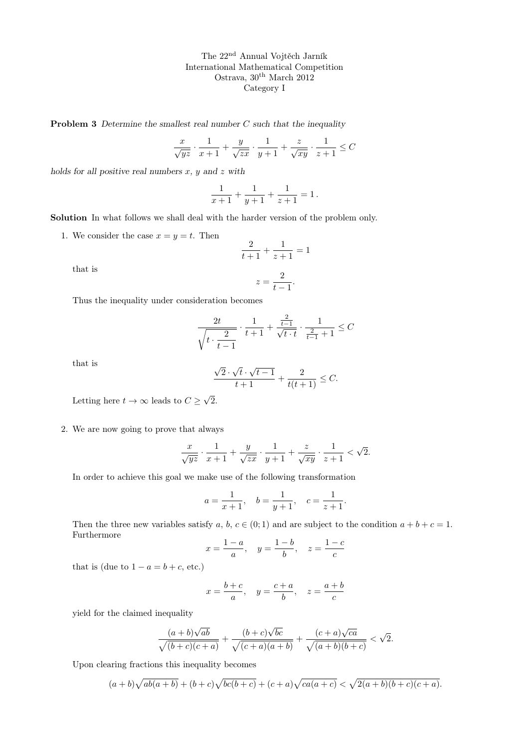**Problem 3** Determine the smallest real number  $C$  such that the inequality

$$
\frac{x}{\sqrt{yz}} \cdot \frac{1}{x+1} + \frac{y}{\sqrt{zx}} \cdot \frac{1}{y+1} + \frac{z}{\sqrt{xy}} \cdot \frac{1}{z+1} \le C
$$

holds for all positive real numbers  $x, y$  and  $z$  with

$$
\frac{1}{x+1} + \frac{1}{y+1} + \frac{1}{z+1} = 1.
$$

Solution In what follows we shall deal with the harder version of the problem only.

1. We consider the case  $x = y = t$ . Then

$$
\frac{2}{t+1} + \frac{1}{z+1} = 1
$$

that is

$$
z = \frac{2}{t-1}.
$$

Thus the inequality under consideration becomes

$$
\frac{2t}{\sqrt{t \cdot \frac{2}{t-1}}} \cdot \frac{1}{t+1} + \frac{\frac{2}{t-1}}{\sqrt{t \cdot t}} \cdot \frac{1}{\frac{2}{t-1}+1} \leq C
$$

that is

$$
\frac{\sqrt{2}\cdot\sqrt{t}\cdot\sqrt{t-1}}{t+1} + \frac{2}{t(t+1)} \leq C.
$$

Letting here  $t \to \infty$  leads to  $C \geq$ √ 2.

2. We are now going to prove that always

$$
\frac{x}{\sqrt{yz}} \cdot \frac{1}{x+1} + \frac{y}{\sqrt{zx}} \cdot \frac{1}{y+1} + \frac{z}{\sqrt{xy}} \cdot \frac{1}{z+1} < \sqrt{2}.
$$

In order to achieve this goal we make use of the following transformation

$$
a = \frac{1}{x+1}
$$
,  $b = \frac{1}{y+1}$ ,  $c = \frac{1}{z+1}$ .

Then the three new variables satisfy a, b,  $c \in (0,1)$  and are subject to the condition  $a+b+c=1$ . Furthermore

$$
x = \frac{1-a}{a}
$$
,  $y = \frac{1-b}{b}$ ,  $z = \frac{1-c}{c}$ 

that is (due to  $1 - a = b + c$ , etc.)

$$
x = \frac{b+c}{a}, \quad y = \frac{c+a}{b}, \quad z = \frac{a+b}{c}
$$

yield for the claimed inequality

$$
\frac{(a+b)\sqrt{ab}}{\sqrt{(b+c)(c+a)}} + \frac{(b+c)\sqrt{bc}}{\sqrt{(c+a)(a+b)}} + \frac{(c+a)\sqrt{ca}}{\sqrt{(a+b)(b+c)}} < \sqrt{2}.
$$

Upon clearing fractions this inequality becomes

$$
(a+b)\sqrt{ab(a+b)} + (b+c)\sqrt{bc(b+c)} + (c+a)\sqrt{ca(a+c)} < \sqrt{2(a+b)(b+c)(c+a)}.
$$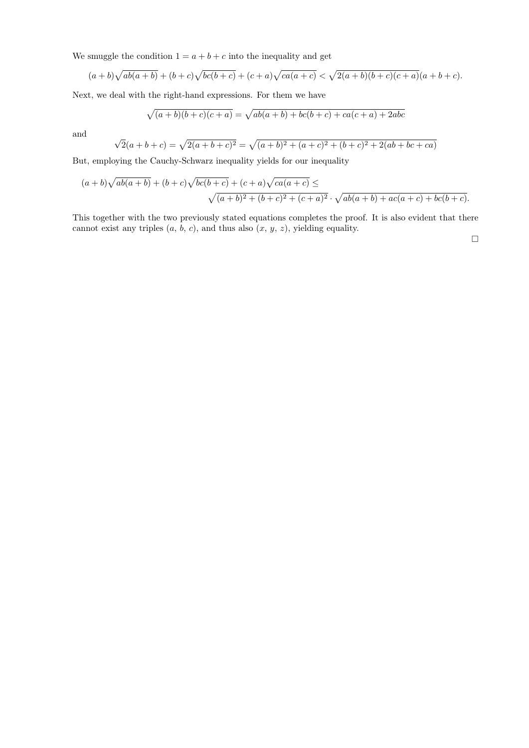We smuggle the condition  $1 = a + b + c$  into the inequality and get

$$
(a+b)\sqrt{ab(a+b)} + (b+c)\sqrt{bc(b+c)} + (c+a)\sqrt{ca(a+c)} < \sqrt{2(a+b)(b+c)(c+a)}(a+b+c).
$$

Next, we deal with the right-hand expressions. For them we have

$$
\sqrt{(a+b)(b+c)(c+a)} = \sqrt{ab(a+b) + bc(b+c) + ca(c+a) + 2abc}
$$

and

$$
\sqrt{2}(a+b+c) = \sqrt{2(a+b+c)^2} = \sqrt{(a+b)^2 + (a+c)^2 + (b+c)^2 + 2(ab+bc+ca)}
$$

But, employing the Cauchy-Schwarz inequality yields for our inequality

$$
(a+b)\sqrt{ab(a+b)} + (b+c)\sqrt{bc(b+c)} + (c+a)\sqrt{ca(a+c)} \le
$$
  

$$
\sqrt{(a+b)^2 + (b+c)^2 + (c+a)^2} \cdot \sqrt{ab(a+b) + ac(a+c) + bc(b+c)}.
$$

This together with the two previously stated equations completes the proof. It is also evident that there cannot exist any triples  $(a, b, c)$ , and thus also  $(x, y, z)$ , yielding equality.

 $\Box$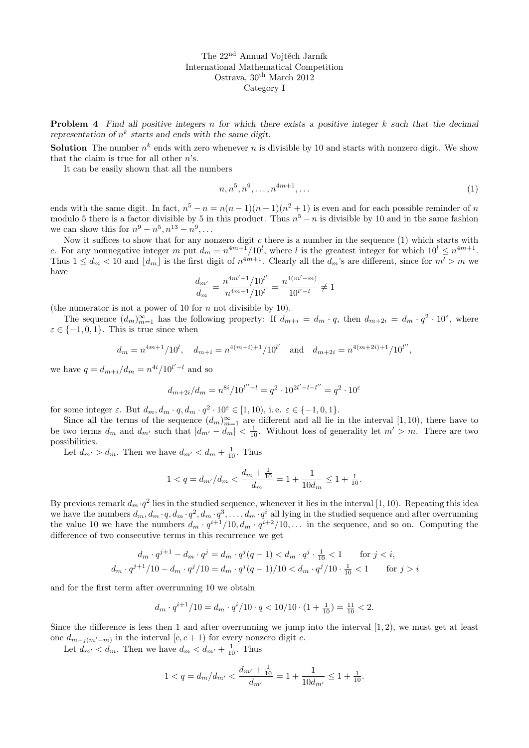**Problem 4** Find all positive integers n for which there exists a positive integer  $k$  such that the decimal representation of  $n^k$  starts and ends with the same digit.

**Solution** The number  $n^k$  ends with zero whenever n is divisible by 10 and starts with nonzero digit. We show that the claim is true for all other  $n$ 's.

It can be easily shown that all the numbers

$$
n, n^5, n^9, \dots, n^{4m+1}, \dots \tag{1}
$$

ends with the same digit. In fact,  $n^5 - n = n(n-1)(n+1)(n^2+1)$  is even and for each possible reminder of n modulo 5 there is a factor divisible by 5 in this product. Thus  $n^5 - n$  is divisible by 10 and in the same fashion we can show this for  $n^9 - n^5, n^{13} - n^9, \ldots$ 

Now it suffices to show that for any nonzero digit  $c$  there is a number in the sequence  $(1)$  which starts with c. For any nonnegative integer m put  $d_m = n^{4m+1}/10^l$ , where l is the greatest integer for which  $10^l \leq n^{4m+1}$ . Thus  $1 \leq d_m < 10$  and  $\lfloor d_m \rfloor$  is the first digit of  $n^{4m+1}$ . Clearly all the  $d_m$ 's are different, since for  $m' > m$  we have

$$
\frac{d_{m'}}{d_{m}} = \frac{n^{4m'+1}/10^{l'}}{n^{4m+1}/10^{l}} = \frac{n^{4(m'-m)}}{10^{l'-l}} \neq 1
$$

(the numerator is not a power of 10 for  $n$  not divisible by 10).

The sequence  $(d_m)_{m=1}^{\infty}$  has the following property: If  $d_{m+i} = d_m \cdot q$ , then  $d_{m+2i} = d_m \cdot q^2 \cdot 10^{\epsilon}$ , where  $\varepsilon \in \{-1, 0, 1\}$ . This is true since when

$$
d_m = n^{4m+1}/10^l
$$
,  $d_{m+i} = n^{4(m+i)+1}/10^{l'}$  and  $d_{m+2i} = n^{4(m+2i)+1}/10^{l''}$ ,

we have  $q = d_{m+i}/d_m = n^{4i}/10^{l'-l}$  and so

$$
d_{m+2i}/d_m = n^{8i}/10^{l''-l} = q^2 \cdot 10^{2l'-l-l''} = q^2 \cdot 10^{\varepsilon}
$$

for some integer  $\varepsilon$ . But  $d_m, d_m \cdot q, d_m \cdot q^2 \cdot 10^{\varepsilon} \in [1, 10)$ , i.e.  $\varepsilon \in \{-1, 0, 1\}$ .

Since all the terms of the sequence  $(d_m)_{m=1}^{\infty}$  are different and all lie in the interval [1, 10), there have to be two terms  $d_m$  and  $d_{m'}$  such that  $|d_{m'} - d_m| < \frac{1}{10}$ . Without loss of generality let  $m' > m$ . There are two possibilities.

Let  $d_{m'} > d_m$ . Then we have  $d_{m'} < d_m + \frac{1}{10}$ . Thus

$$
1 < q = d_{m'}/d_m < \frac{d_m + \frac{1}{10}}{d_m} = 1 + \frac{1}{10d_m} \le 1 + \frac{1}{10}.
$$

By previous remark  $d_m \cdot q^2$  lies in the studied sequence, whenever it lies in the interval [1, 10). Repeating this idea we have the numbers  $d_m, d_m \cdot q, d_m \cdot q^2, d_m \cdot q^3, \ldots, d_m \cdot q^i$  all lying in the studied sequence and after overrunning the value 10 we have the numbers  $d_m \cdot q^{i+1}/10$ ,  $d_m \cdot q^{i+2}/10$ ,... in the sequence, and so on. Computing the difference of two consecutive terms in this recurrence we get

$$
d_m \cdot q^{j+1} - d_m \cdot q^j = d_m \cdot q^j (q-1) < d_m \cdot q^j \cdot \frac{1}{10} < 1 \qquad \text{for } j < i,
$$
\n
$$
d_m \cdot q^{j+1} / 10 - d_m \cdot q^j / 10 = d_m \cdot q^j (q-1) / 10 < d_m \cdot q^j / 10 \cdot \frac{1}{10} < 1 \qquad \text{for } j > i
$$

and for the first term after overrunning 10 we obtain

$$
d_m \cdot q^{i+1}/10 = d_m \cdot q^i/10 \cdot q < 10/10 \cdot (1 + \frac{1}{10}) = \frac{11}{10} < 2.
$$

Since the difference is less then 1 and after overrunning we jump into the interval  $(1, 2)$ , we must get at least one  $d_{m+j(m'-m)}$  in the interval  $[c, c+1)$  for every nonzero digit c.

Let  $d_{m'} < d_m$ . Then we have  $d_m < d_{m'} + \frac{1}{10}$ . Thus

$$
1 < q = d_m/d_{m'} < \frac{d_{m'} + \frac{1}{10}}{d_{m'}} = 1 + \frac{1}{10d_{m'}} \le 1 + \frac{1}{10}.
$$